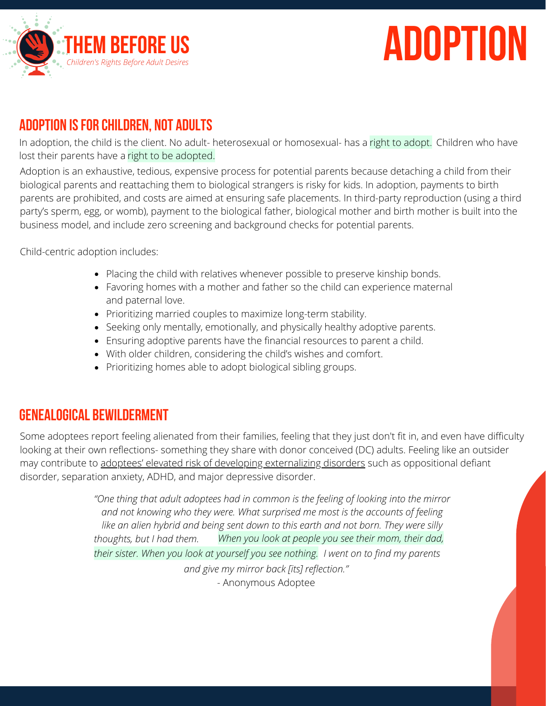

## **adoption**

## **Adoption isfor Children, not Adults**

In adoption, the child is the client. No adult- heterosexual or homosexual- has a <mark>right to adopt.</mark> Children who have lost their parents have a right to be adopted.

Adoption is an exhaustive, tedious, expensive process for potential parents because detaching a child from their biological parents and reattaching them to biological strangers is risky for kids. In adoption, payments to birth parents are prohibited, and costs are aimed at ensuring safe placements. In third-party reproduction (using a third party's sperm, egg, or womb), payment to the biological father, biological mother and birth mother is built into the business model, and include zero screening and background checks for potential parents.

Child-centric adoption includes:

- Placing the child with relatives whenever possible to preserve kinship bonds.
- Favoring homes with a mother and father so the child can experience maternal and paternal love.
- Prioritizing married couples to maximize long-term stability.
- Seeking only mentally, emotionally, and physically healthy adoptive parents.
- Ensuring adoptive parents have the financial resources to parent a child.
- With older children, considering the child's wishes and comfort.
- Prioritizing homes able to adopt biological sibling groups.

## **Genealogical Bewilderment**

Some adoptees report feeling alienated from their families, feeling that they just don't fit in, and even have difficulty looking at their own reflections- something they share with donor conceived (DC) adults. Feeling like an outsider may contribute to adoptees' elevated risk of developing [externalizing](https://www.tandfonline.com/doi/abs/10.1207/s15374424jccp2204_5) disorders such as oppositional defiant disorder, separation anxiety, ADHD, and major depressive disorder[.](https://www.tandfonline.com/doi/abs/10.1207/s15374424jccp2204_5)

> *"One thing that adult adoptees had in common is the feeling of looking into the mirror and not knowing who they were. What surprised me most is the accounts of feeling like an alien hybrid and being sent down to this earth and not born. They were silly thoughts, but I had them. When you look at people you see their mom, their dad, their sister. When you look at yourself you see nothing. I went on to find my parents and give my mirror back [its] reflection."* - [Anonymous](https://adoption.com/forums/thread/368281/%20genealogical-bewilderment/) Adoptee